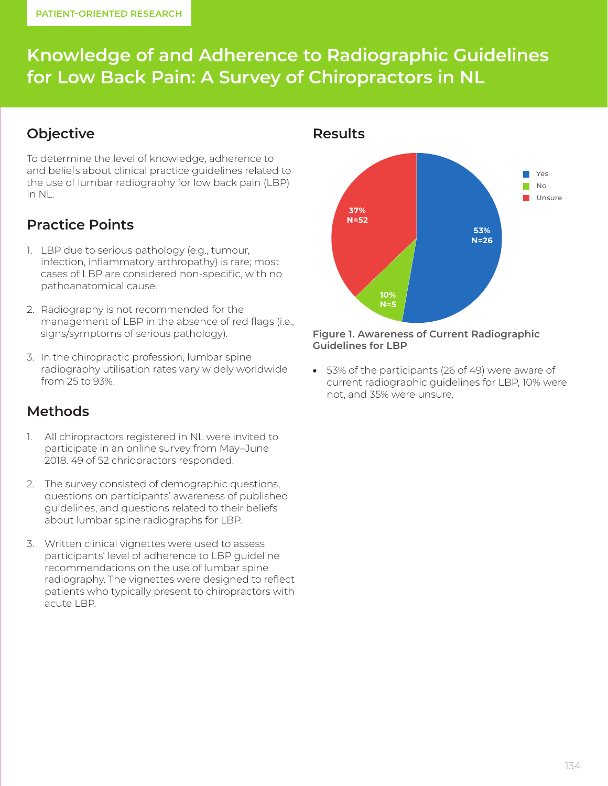# **Knowledge of and Adherence to Radiographic Guidelines for Low Back Pain: A Survey of Chiropractors in NL**

### **Objective**

To determine the level of knowledge, adherence to and beliefs about clinical practice guidelines related to the use of lumbar radiography for low back pain (LBP) in NL.

## **Practice Points**

- 1. LBP due to serious pathology (e.g., tumour, infection, inflammatory arthropathy) is rare; most cases of LBP are considered non-specific, with no pathoanatomical cause.
- 2. Radiography is not recommended for the management of LBP in the absence of red flags (i.e., signs/symptoms of serious pathology).
- 3. In the chiropractic profession, lumbar spine radiography utilisation rates vary widely worldwide from 25 to 93%.

### **Methods**

- 1. All chiropractors registered in NL were invited to participate in an online survey from May–June 2018. 49 of 52 chriopractors responded.
- 2. The survey consisted of demographic questions, questions on participants' awareness of published guidelines, and questions related to their beliefs about lumbar spine radiographs for LBP.
- 3. Written clinical vignettes were used to assess participants' level of adherence to LBP guideline recommendations on the use of lumbar spine radiography. The vignettes were designed to reflect patients who typically present to chiropractors with acute LBP.



#### **Figure 1. Awareness of Current Radiographic Guidelines for LBP**

• 53% of the participants (26 of 49) were aware of current radiographic guidelines for LBP, 10% were not, and 35% were unsure.